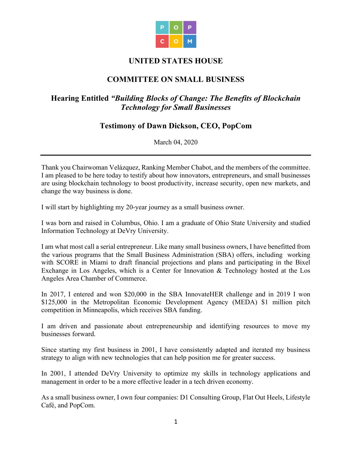

### **UNITED STATES HOUSE**

## **COMMITTEE ON SMALL BUSINESS**

## **Hearing Entitled** *"Building Blocks of Change: The Benefits of Blockchain Technology for Small Businesses*

# **Testimony of Dawn Dickson, CEO, PopCom**

March 04, 2020

Thank you Chairwoman Velázquez, Ranking Member Chabot, and the members of the committee. I am pleased to be here today to testify about how innovators, entrepreneurs, and small businesses are using blockchain technology to boost productivity, increase security, open new markets, and change the way business is done.

I will start by highlighting my 20-year journey as a small business owner.

I was born and raised in Columbus, Ohio. I am a graduate of Ohio State University and studied Information Technology at DeVry University.

I am what most call a serial entrepreneur. Like many small business owners, I have benefitted from the various programs that the Small Business Administration (SBA) offers, including working with SCORE in Miami to draft financial projections and plans and participating in the Bixel Exchange in Los Angeles, which is a Center for Innovation & Technology hosted at the Los Angeles Area Chamber of Commerce.

In 2017, I entered and won \$20,000 in the SBA InnovateHER challenge and in 2019 I won \$125,000 in the Metropolitan Economic Development Agency (MEDA) \$1 million pitch competition in Minneapolis, which receives SBA funding.

I am driven and passionate about entrepreneurship and identifying resources to move my businesses forward.

Since starting my first business in 2001, I have consistently adapted and iterated my business strategy to align with new technologies that can help position me for greater success.

In 2001, I attended DeVry University to optimize my skills in technology applications and management in order to be a more effective leader in a tech driven economy.

As a small business owner, I own four companies: D1 Consulting Group, Flat Out Heels, Lifestyle Café, and PopCom.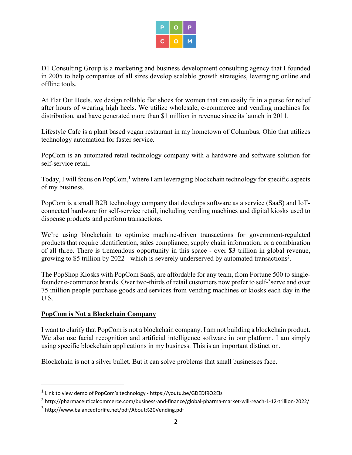D1 Consulting Group is a marketing and business development consulting agency that I founded in 2005 to help companies of all sizes develop scalable growth strategies, leveraging online and offline tools.

At Flat Out Heels, we design rollable flat shoes for women that can easily fit in a purse for relief after hours of wearing high heels. We utilize wholesale, e-commerce and vending machines for distribution, and have generated more than \$1 million in revenue since its launch in 2011.

Lifestyle Cafe is a plant based vegan restaurant in my hometown of Columbus, Ohio that utilizes technology automation for faster service.

PopCom is an automated retail technology company with a hardware and software solution for self-service retail.

Today, I will focus on PopCom,<sup>1</sup> where I am leveraging blockchain technology for specific aspects of my business.

PopCom is a small B2B technology company that develops software as a service (SaaS) and IoTconnected hardware for self-service retail, including vending machines and digital kiosks used to dispense products and perform transactions.

We're using blockchain to optimize machine-driven transactions for government-regulated products that require identification, sales compliance, supply chain information, or a combination of all three. There is tremendous opportunity in this space - over \$3 trillion in global revenue, growing to \$5 trillion by 2022 - which is severely underserved by automated transactions2.

The PopShop Kiosks with PopCom SaaS, are affordable for any team, from Fortune 500 to singlefounder e-commerce brands. Over two-thirds of retail customers now prefer to self-<sup>3</sup>serve and over 75 million people purchase goods and services from vending machines or kiosks each day in the U.S.

#### **PopCom is Not a Blockchain Company**

I want to clarify that PopCom is not a blockchain company. I am not building a blockchain product. We also use facial recognition and artificial intelligence software in our platform. I am simply using specific blockchain applications in my business. This is an important distinction.

Blockchain is not a silver bullet. But it can solve problems that small businesses face.

<sup>1</sup> Link to view demo of PopCom's technology - https://youtu.be/GDEDf9Q2Eis

<sup>2</sup> http://pharmaceuticalcommerce.com/business-and-finance/global-pharma-market-will-reach-1-12-trillion-2022/

<sup>3</sup> http://www.balancedforlife.net/pdf/About%20Vending.pdf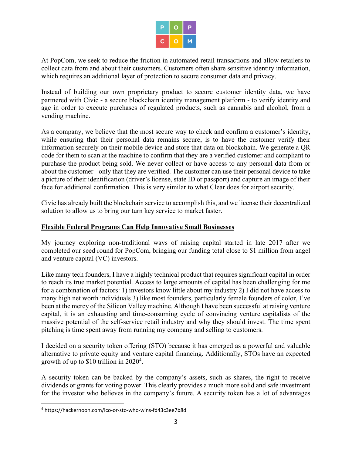|  | ಲ |
|--|---|
|  | ŗ |

At PopCom, we seek to reduce the friction in automated retail transactions and allow retailers to collect data from and about their customers. Customers often share sensitive identity information, which requires an additional layer of protection to secure consumer data and privacy.

Instead of building our own proprietary product to secure customer identity data, we have partnered with Civic - a secure blockchain identity management platform - to verify identity and age in order to execute purchases of regulated products, such as cannabis and alcohol, from a vending machine.

As a company, we believe that the most secure way to check and confirm a customer's identity, while ensuring that their personal data remains secure, is to have the customer verify their information securely on their mobile device and store that data on blockchain. We generate a QR code for them to scan at the machine to confirm that they are a verified customer and compliant to purchase the product being sold. We never collect or have access to any personal data from or about the customer - only that they are verified. The customer can use their personal device to take a picture of their identification (driver's license, state ID or passport) and capture an image of their face for additional confirmation. This is very similar to what Clear does for airport security.

Civic has already built the blockchain service to accomplish this, and we license their decentralized solution to allow us to bring our turn key service to market faster.

### **Flexible Federal Programs Can Help Innovative Small Businesses**

My journey exploring non-traditional ways of raising capital started in late 2017 after we completed our seed round for PopCom, bringing our funding total close to \$1 million from angel and venture capital (VC) investors.

Like many tech founders, I have a highly technical product that requires significant capital in order to reach its true market potential. Access to large amounts of capital has been challenging for me for a combination of factors: 1) investors know little about my industry 2) I did not have access to many high net worth individuals 3) like most founders, particularly female founders of color, I've been at the mercy of the Silicon Valley machine. Although I have been successful at raising venture capital, it is an exhausting and time-consuming cycle of convincing venture capitalists of the massive potential of the self-service retail industry and why they should invest. The time spent pitching is time spent away from running my company and selling to customers.

I decided on a security token offering (STO) because it has emerged as a powerful and valuable alternative to private equity and venture capital financing. Additionally, STOs have an expected growth of up to \$10 trillion in 2020<sup>4</sup>.

A security token can be backed by the company's assets, such as shares, the right to receive dividends or grants for voting power. This clearly provides a much more solid and safe investment for the investor who believes in the company's future. A security token has a lot of advantages

<sup>4</sup> https://hackernoon.com/ico-or-sto-who-wins-fd43c3ee7b8d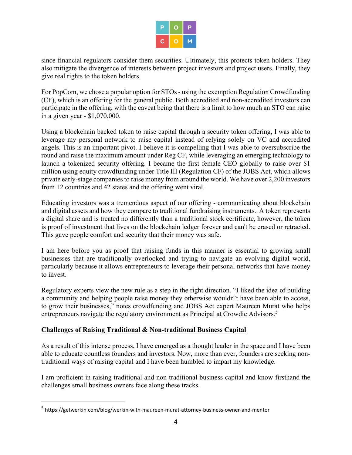|  | P |
|--|---|
|  | 7 |

since financial regulators consider them securities. Ultimately, this protects token holders. They also mitigate the divergence of interests between project investors and project users. Finally, they give real rights to the token holders.

For PopCom, we chose a popular option for STOs - using the exemption Regulation Crowdfunding (CF), which is an offering for the general public. Both accredited and non-accredited investors can participate in the offering, with the caveat being that there is a limit to how much an STO can raise in a given year - \$1,070,000.

Using a blockchain backed token to raise capital through a security token offering, I was able to leverage my personal network to raise capital instead of relying solely on VC and accredited angels. This is an important pivot. I believe it is compelling that I was able to oversubscribe the round and raise the maximum amount under Reg CF, while leveraging an emerging technology to launch a tokenized security offering. I became the first female CEO globally to raise over \$1 million using equity crowdfunding under Title III (Regulation CF) of the JOBS Act, which allows private early-stage companies to raise money from around the world. We have over 2,200 investors from 12 countries and 42 states and the offering went viral.

Educating investors was a tremendous aspect of our offering - communicating about blockchain and digital assets and how they compare to traditional fundraising instruments. A token represents a digital share and is treated no differently than a traditional stock certificate, however, the token is proof of investment that lives on the blockchain ledger forever and can't be erased or retracted. This gave people comfort and security that their money was safe.

I am here before you as proof that raising funds in this manner is essential to growing small businesses that are traditionally overlooked and trying to navigate an evolving digital world, particularly because it allows entrepreneurs to leverage their personal networks that have money to invest.

Regulatory experts view the new rule as a step in the right direction. "I liked the idea of building a community and helping people raise money they otherwise wouldn't have been able to access, to grow their businesses," notes crowdfunding and JOBS Act expert Maureen Murat who helps entrepreneurs navigate the regulatory environment as Principal at Crowdie Advisors.<sup>5</sup>

### **Challenges of Raising Traditional & Non-traditional Business Capital**

As a result of this intense process, I have emerged as a thought leader in the space and I have been able to educate countless founders and investors. Now, more than ever, founders are seeking nontraditional ways of raising capital and I have been humbled to impart my knowledge.

I am proficient in raising traditional and non-traditional business capital and know firsthand the challenges small business owners face along these tracks.

<sup>5</sup> https://getwerkin.com/blog/werkin-with-maureen-murat-attorney-business-owner-and-mentor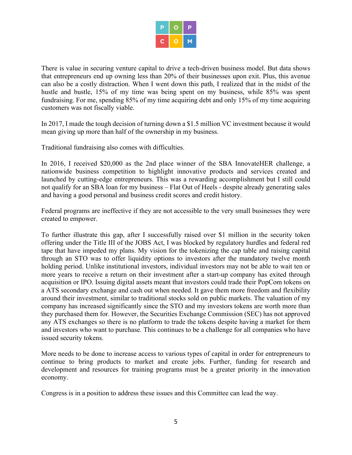There is value in securing venture capital to drive a tech-driven business model. But data shows that entrepreneurs end up owning less than 20% of their businesses upon exit. Plus, this avenue can also be a costly distraction. When I went down this path, I realized that in the midst of the hustle and bustle, 15% of my time was being spent on my business, while 85% was spent fundraising. For me, spending 85% of my time acquiring debt and only 15% of my time acquiring customers was not fiscally viable.

In 2017, I made the tough decision of turning down a \$1.5 million VC investment because it would mean giving up more than half of the ownership in my business.

Traditional fundraising also comes with difficulties.

In 2016, I received \$20,000 as the 2nd place winner of the SBA InnovateHER challenge, a nationwide business competition to highlight innovative products and services created and launched by cutting-edge entrepreneurs. This was a rewarding accomplishment but I still could not qualify for an SBA loan for my business – Flat Out of Heels - despite already generating sales and having a good personal and business credit scores and credit history.

Federal programs are ineffective if they are not accessible to the very small businesses they were created to empower.

To further illustrate this gap, after I successfully raised over \$1 million in the security token offering under the Title III of the JOBS Act, I was blocked by regulatory hurdles and federal red tape that have impeded my plans. My vision for the tokenizing the cap table and raising capital through an STO was to offer liquidity options to investors after the mandatory twelve month holding period. Unlike institutional investors, individual investors may not be able to wait ten or more years to receive a return on their investment after a start-up company has exited through acquisition or IPO. Issuing digital assets meant that investors could trade their PopCom tokens on a ATS secondary exchange and cash out when needed. It gave them more freedom and flexibility around their investment, similar to traditional stocks sold on public markets. The valuation of my company has increased significantly since the STO and my investors tokens are worth more than they purchased them for. However, the Securities Exchange Commission (SEC) has not approved any ATS exchanges so there is no platform to trade the tokens despite having a market for them and investors who want to purchase. This continues to be a challenge for all companies who have issued security tokens.

More needs to be done to increase access to various types of capital in order for entrepreneurs to continue to bring products to market and create jobs. Further, funding for research and development and resources for training programs must be a greater priority in the innovation economy.

Congress is in a position to address these issues and this Committee can lead the way.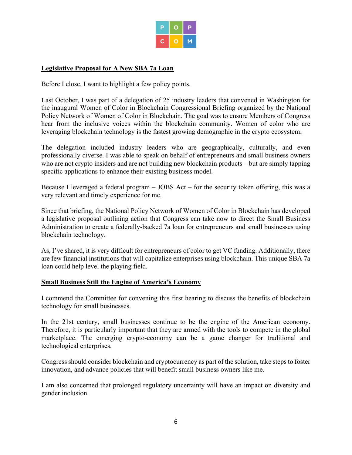

#### **Legislative Proposal for A New SBA 7a Loan**

Before I close, I want to highlight a few policy points.

Last October, I was part of a delegation of 25 industry leaders that convened in Washington for the inaugural Women of Color in Blockchain Congressional Briefing organized by the National Policy Network of Women of Color in Blockchain. The goal was to ensure Members of Congress hear from the inclusive voices within the blockchain community. Women of color who are leveraging blockchain technology is the fastest growing demographic in the crypto ecosystem.

The delegation included industry leaders who are geographically, culturally, and even professionally diverse. I was able to speak on behalf of entrepreneurs and small business owners who are not crypto insiders and are not building new blockchain products – but are simply tapping specific applications to enhance their existing business model.

Because I leveraged a federal program – JOBS Act – for the security token offering, this was a very relevant and timely experience for me.

Since that briefing, the National Policy Network of Women of Color in Blockchain has developed a legislative proposal outlining action that Congress can take now to direct the Small Business Administration to create a federally-backed 7a loan for entrepreneurs and small businesses using blockchain technology.

As, I've shared, it is very difficult for entrepreneurs of color to get VC funding. Additionally, there are few financial institutions that will capitalize enterprises using blockchain. This unique SBA 7a loan could help level the playing field.

#### **Small Business Still the Engine of America's Economy**

I commend the Committee for convening this first hearing to discuss the benefits of blockchain technology for small businesses.

In the 21st century, small businesses continue to be the engine of the American economy. Therefore, it is particularly important that they are armed with the tools to compete in the global marketplace. The emerging crypto-economy can be a game changer for traditional and technological enterprises.

Congress should consider blockchain and cryptocurrency as part of the solution, take steps to foster innovation, and advance policies that will benefit small business owners like me.

I am also concerned that prolonged regulatory uncertainty will have an impact on diversity and gender inclusion.